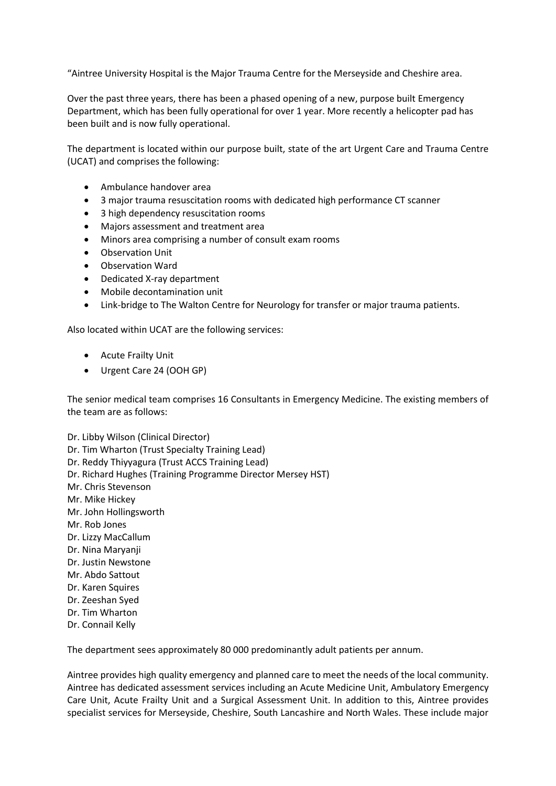"Aintree University Hospital is the Major Trauma Centre for the Merseyside and Cheshire area.

Over the past three years, there has been a phased opening of a new, purpose built Emergency Department, which has been fully operational for over 1 year. More recently a helicopter pad has been built and is now fully operational.

The department is located within our purpose built, state of the art Urgent Care and Trauma Centre (UCAT) and comprises the following:

- Ambulance handover area
- 3 major trauma resuscitation rooms with dedicated high performance CT scanner
- 3 high dependency resuscitation rooms
- Majors assessment and treatment area
- Minors area comprising a number of consult exam rooms
- Observation Unit
- Observation Ward
- Dedicated X-ray department
- Mobile decontamination unit
- Link-bridge to The Walton Centre for Neurology for transfer or major trauma patients.

Also located within UCAT are the following services:

- Acute Frailty Unit
- Urgent Care 24 (OOH GP)

The senior medical team comprises 16 Consultants in Emergency Medicine. The existing members of the team are as follows:

Dr. Libby Wilson (Clinical Director) Dr. Tim Wharton (Trust Specialty Training Lead) Dr. Reddy Thiyyagura (Trust ACCS Training Lead) Dr. Richard Hughes (Training Programme Director Mersey HST) Mr. Chris Stevenson Mr. Mike Hickey Mr. John Hollingsworth Mr. Rob Jones Dr. Lizzy MacCallum Dr. Nina Maryanji Dr. Justin Newstone Mr. Abdo Sattout Dr. Karen Squires Dr. Zeeshan Syed Dr. Tim Wharton Dr. Connail Kelly

The department sees approximately 80 000 predominantly adult patients per annum.

Aintree provides high quality emergency and planned care to meet the needs of the local community. Aintree has dedicated assessment services including an Acute Medicine Unit, Ambulatory Emergency Care Unit, Acute Frailty Unit and a Surgical Assessment Unit. In addition to this, Aintree provides specialist services for Merseyside, Cheshire, South Lancashire and North Wales. These include major